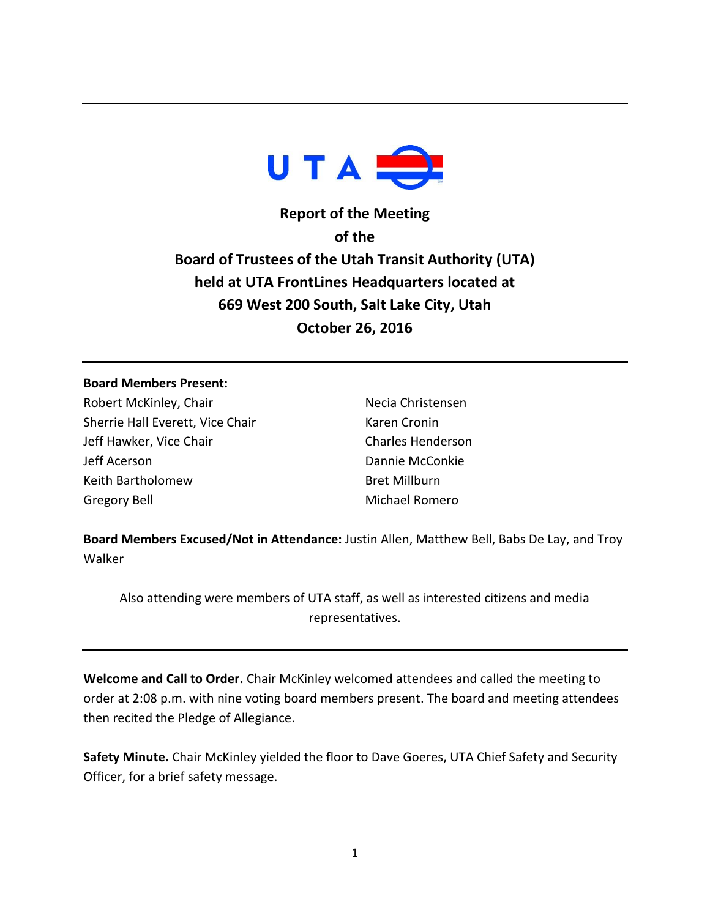

**Report of the Meeting of the Board of Trustees of the Utah Transit Authority (UTA) held at UTA FrontLines Headquarters located at 669 West 200 South, Salt Lake City, Utah October 26, 2016**

### **Board Members Present:**

Robert McKinley, Chair Sherrie Hall Everett, Vice Chair Jeff Hawker, Vice Chair Jeff Acerson Keith Bartholomew Gregory Bell

Necia Christensen Karen Cronin Charles Henderson Dannie McConkie Bret Millburn Michael Romero

**Board Members Excused/Not in Attendance:** Justin Allen, Matthew Bell, Babs De Lay, and Troy Walker

Also attending were members of UTA staff, as well as interested citizens and media representatives.

**Welcome and Call to Order.** Chair McKinley welcomed attendees and called the meeting to order at 2:08 p.m. with nine voting board members present. The board and meeting attendees then recited the Pledge of Allegiance.

**Safety Minute.** Chair McKinley yielded the floor to Dave Goeres, UTA Chief Safety and Security Officer, for a brief safety message.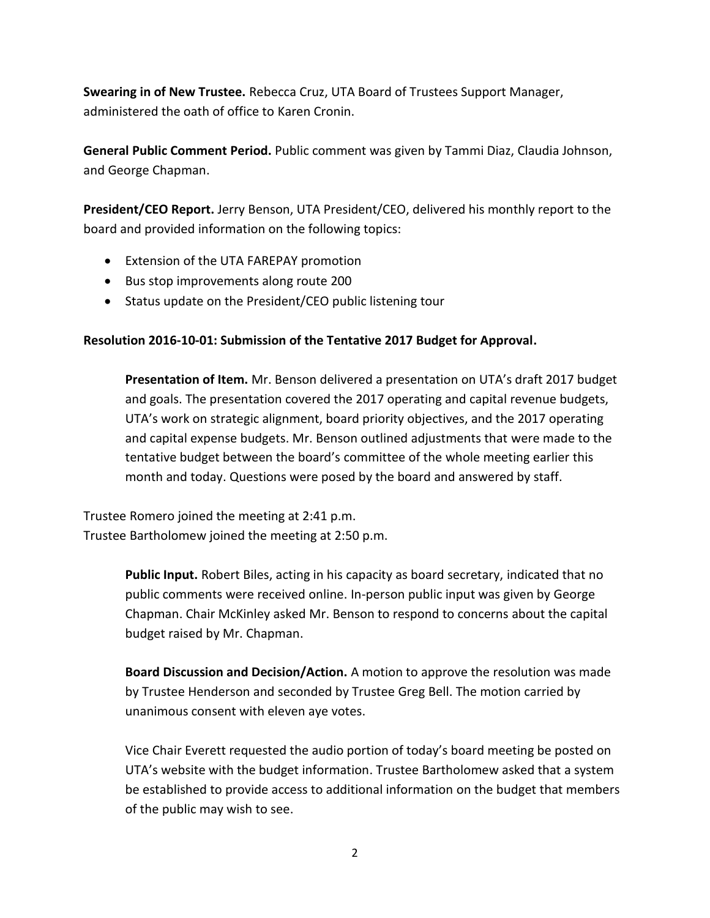**Swearing in of New Trustee.** Rebecca Cruz, UTA Board of Trustees Support Manager, administered the oath of office to Karen Cronin.

**General Public Comment Period.** Public comment was given by Tammi Diaz, Claudia Johnson, and George Chapman.

**President/CEO Report.** Jerry Benson, UTA President/CEO, delivered his monthly report to the board and provided information on the following topics:

- Extension of the UTA FAREPAY promotion
- Bus stop improvements along route 200
- Status update on the President/CEO public listening tour

# **Resolution 2016-10-01: Submission of the Tentative 2017 Budget for Approval.**

**Presentation of Item.** Mr. Benson delivered a presentation on UTA's draft 2017 budget and goals. The presentation covered the 2017 operating and capital revenue budgets, UTA's work on strategic alignment, board priority objectives, and the 2017 operating and capital expense budgets. Mr. Benson outlined adjustments that were made to the tentative budget between the board's committee of the whole meeting earlier this month and today. Questions were posed by the board and answered by staff.

Trustee Romero joined the meeting at 2:41 p.m. Trustee Bartholomew joined the meeting at 2:50 p.m.

> **Public Input.** Robert Biles, acting in his capacity as board secretary, indicated that no public comments were received online. In-person public input was given by George Chapman. Chair McKinley asked Mr. Benson to respond to concerns about the capital budget raised by Mr. Chapman.

> **Board Discussion and Decision/Action.** A motion to approve the resolution was made by Trustee Henderson and seconded by Trustee Greg Bell. The motion carried by unanimous consent with eleven aye votes.

Vice Chair Everett requested the audio portion of today's board meeting be posted on UTA's website with the budget information. Trustee Bartholomew asked that a system be established to provide access to additional information on the budget that members of the public may wish to see.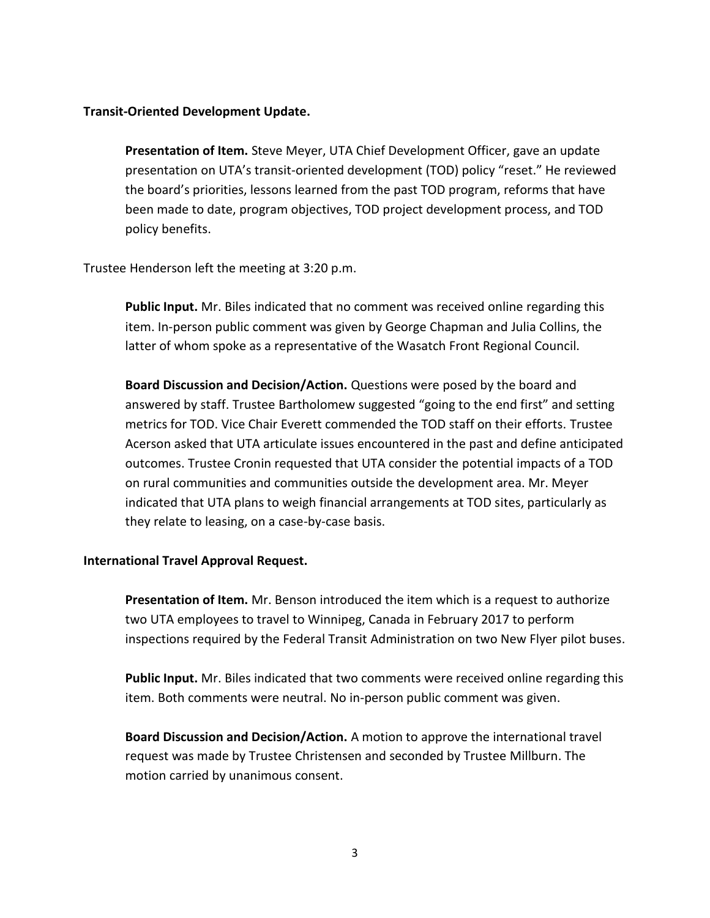## **Transit-Oriented Development Update.**

**Presentation of Item.** Steve Meyer, UTA Chief Development Officer, gave an update presentation on UTA's transit-oriented development (TOD) policy "reset." He reviewed the board's priorities, lessons learned from the past TOD program, reforms that have been made to date, program objectives, TOD project development process, and TOD policy benefits.

### Trustee Henderson left the meeting at 3:20 p.m.

**Public Input.** Mr. Biles indicated that no comment was received online regarding this item. In-person public comment was given by George Chapman and Julia Collins, the latter of whom spoke as a representative of the Wasatch Front Regional Council.

**Board Discussion and Decision/Action.** Questions were posed by the board and answered by staff. Trustee Bartholomew suggested "going to the end first" and setting metrics for TOD. Vice Chair Everett commended the TOD staff on their efforts. Trustee Acerson asked that UTA articulate issues encountered in the past and define anticipated outcomes. Trustee Cronin requested that UTA consider the potential impacts of a TOD on rural communities and communities outside the development area. Mr. Meyer indicated that UTA plans to weigh financial arrangements at TOD sites, particularly as they relate to leasing, on a case-by-case basis.

### **International Travel Approval Request.**

**Presentation of Item.** Mr. Benson introduced the item which is a request to authorize two UTA employees to travel to Winnipeg, Canada in February 2017 to perform inspections required by the Federal Transit Administration on two New Flyer pilot buses.

**Public Input.** Mr. Biles indicated that two comments were received online regarding this item. Both comments were neutral. No in-person public comment was given.

**Board Discussion and Decision/Action.** A motion to approve the international travel request was made by Trustee Christensen and seconded by Trustee Millburn. The motion carried by unanimous consent.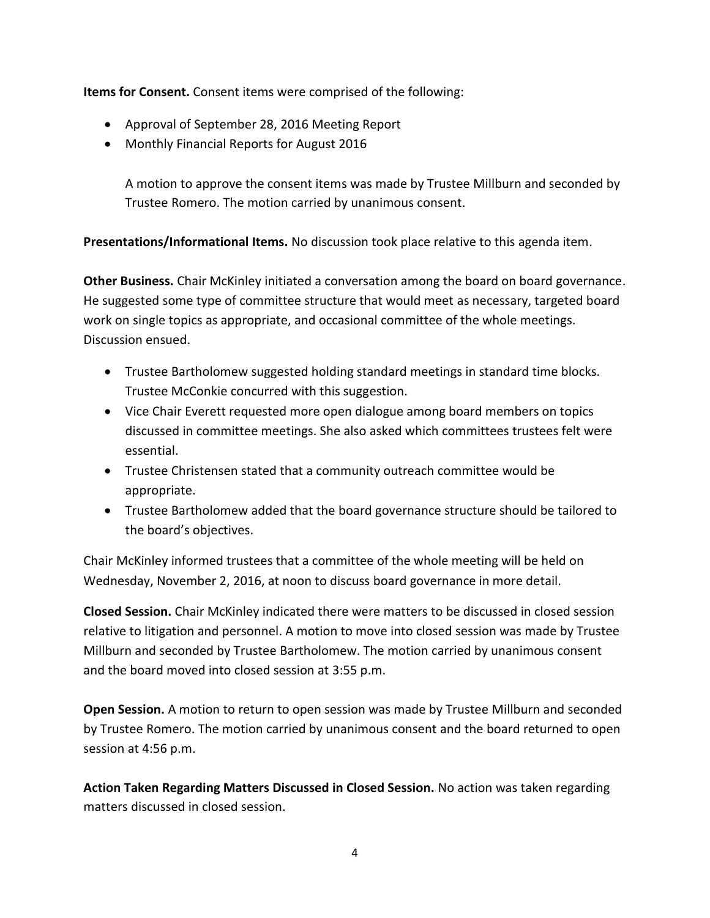**Items for Consent.** Consent items were comprised of the following:

- Approval of September 28, 2016 Meeting Report
- Monthly Financial Reports for August 2016

A motion to approve the consent items was made by Trustee Millburn and seconded by Trustee Romero. The motion carried by unanimous consent.

**Presentations/Informational Items.** No discussion took place relative to this agenda item.

**Other Business.** Chair McKinley initiated a conversation among the board on board governance. He suggested some type of committee structure that would meet as necessary, targeted board work on single topics as appropriate, and occasional committee of the whole meetings. Discussion ensued.

- Trustee Bartholomew suggested holding standard meetings in standard time blocks. Trustee McConkie concurred with this suggestion.
- Vice Chair Everett requested more open dialogue among board members on topics discussed in committee meetings. She also asked which committees trustees felt were essential.
- Trustee Christensen stated that a community outreach committee would be appropriate.
- Trustee Bartholomew added that the board governance structure should be tailored to the board's objectives.

Chair McKinley informed trustees that a committee of the whole meeting will be held on Wednesday, November 2, 2016, at noon to discuss board governance in more detail.

**Closed Session.** Chair McKinley indicated there were matters to be discussed in closed session relative to litigation and personnel. A motion to move into closed session was made by Trustee Millburn and seconded by Trustee Bartholomew. The motion carried by unanimous consent and the board moved into closed session at 3:55 p.m.

**Open Session.** A motion to return to open session was made by Trustee Millburn and seconded by Trustee Romero. The motion carried by unanimous consent and the board returned to open session at 4:56 p.m.

**Action Taken Regarding Matters Discussed in Closed Session.** No action was taken regarding matters discussed in closed session.